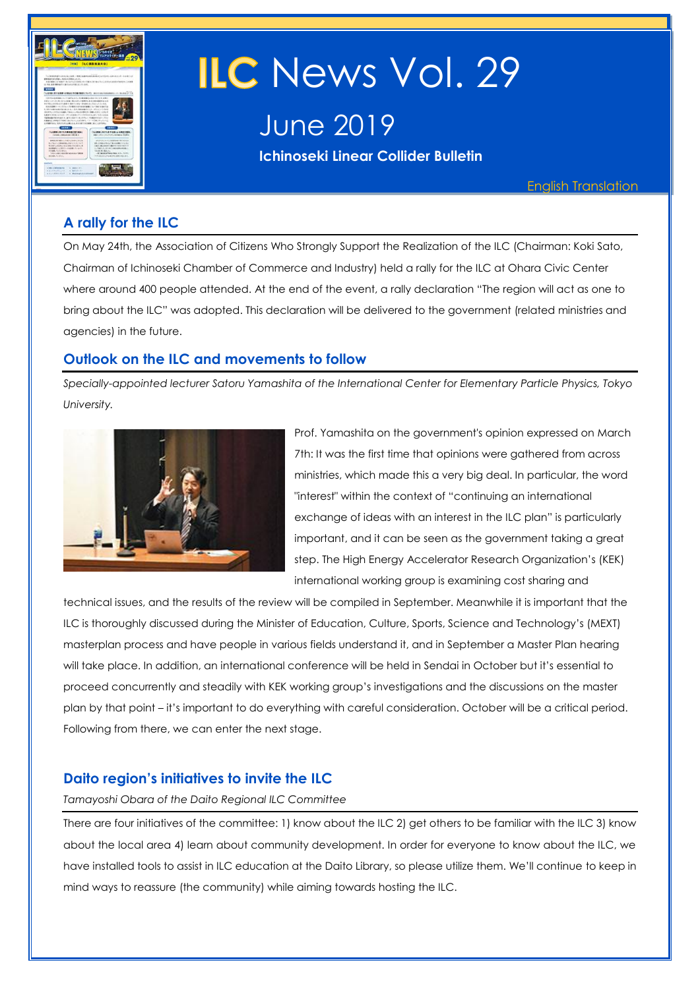

# ILC News Vol. 29

June 2019

**Ichinoseki Linear Collider Bulletin** 

English Translation

## **A rally for the ILC**

On May 24th, the Association of Citizens Who Strongly Support the Realization of the ILC (Chairman: Koki Sato, Chairman of Ichinoseki Chamber of Commerce and Industry) held a rally for the ILC at Ohara Civic Center where around 400 people attended. At the end of the event, a rally declaration "The region will act as one to bring about the ILC" was adopted. This declaration will be delivered to the government (related ministries and agencies) in the future.

## **Outlook on the ILC and movements to follow**

*Specially-appointed lecturer Satoru Yamashita of the International Center for Elementary Particle Physics, Tokyo University.*



Prof. Yamashita on the government's opinion expressed on March 7th: It was the first time that opinions were gathered from across ministries, which made this a very big deal. In particular, the word "interest" within the context of "continuing an international exchange of ideas with an interest in the ILC plan" is particularly important, and it can be seen as the government taking a great step. The High Energy Accelerator Research Organization's (KEK) international working group is examining cost sharing and

technical issues, and the results of the review will be compiled in September. Meanwhile it is important that the ILC is thoroughly discussed during the Minister of Education, Culture, Sports, Science and Technology's (MEXT) masterplan process and have people in various fields understand it, and in September a Master Plan hearing will take place. In addition, an international conference will be held in Sendai in October but it's essential to proceed concurrently and steadily with KEK working group's investigations and the discussions on the master plan by that point – it's important to do everything with careful consideration. October will be a critical period. Following from there, we can enter the next stage.

## **Daito region's initiatives to invite the ILC**

#### *Tamayoshi Obara of the Daito Regional ILC Committee*

There are four initiatives of the committee: 1) know about the ILC 2) get others to be familiar with the ILC 3) know about the local area 4) learn about community development. In order for everyone to know about the ILC, we have installed tools to assist in ILC education at the Daito Library, so please utilize them. We'll continue to keep in mind ways to reassure (the community) while aiming towards hosting the ILC.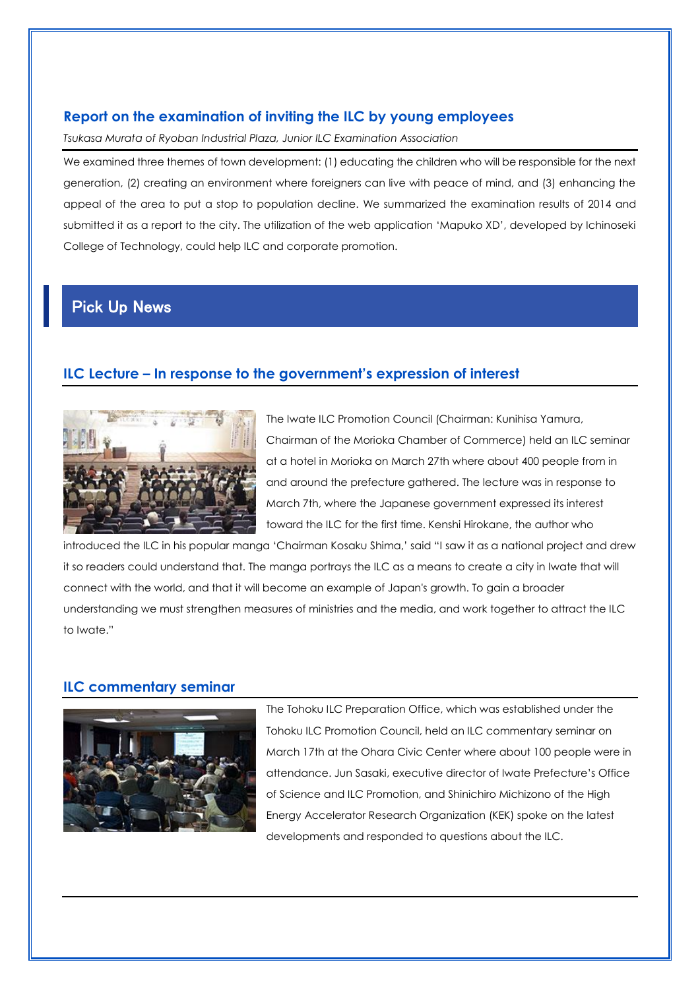## **Report on the examination of inviting the ILC by young employees**

*Tsukasa Murata of Ryoban Industrial Plaza, Junior ILC Examination Association* 

We examined three themes of town development: (1) educating the children who will be responsible for the next generation, (2) creating an environment where foreigners can live with peace of mind, and (3) enhancing the appeal of the area to put a stop to population decline. We summarized the examination results of 2014 and submitted it as a report to the city. The utilization of the web application 'Mapuko XD', developed by Ichinoseki College of Technology, could help ILC and corporate promotion.

## Pick Up News

## **ILC Lecture – In response to the government's expression of interest**



The Iwate ILC Promotion Council (Chairman: Kunihisa Yamura, Chairman of the Morioka Chamber of Commerce) held an ILC seminar at a hotel in Morioka on March 27th where about 400 people from in and around the prefecture gathered. The lecture was in response to March 7th, where the Japanese government expressed its interest toward the ILC for the first time. Kenshi Hirokane, the author who

introduced the ILC in his popular manga 'Chairman Kosaku Shima,' said "I saw it as a national project and drew it so readers could understand that. The manga portrays the ILC as a means to create a city in Iwate that will connect with the world, and that it will become an example of Japan's growth. To gain a broader understanding we must strengthen measures of ministries and the media, and work together to attract the ILC to Iwate."

## **ILC commentary seminar**



The Tohoku ILC Preparation Office, which was established under the Tohoku ILC Promotion Council, held an ILC commentary seminar on March 17th at the Ohara Civic Center where about 100 people were in attendance. Jun Sasaki, executive director of Iwate Prefecture's Office of Science and ILC Promotion, and Shinichiro Michizono of the High Energy Accelerator Research Organization (KEK) spoke on the latest developments and responded to questions about the ILC.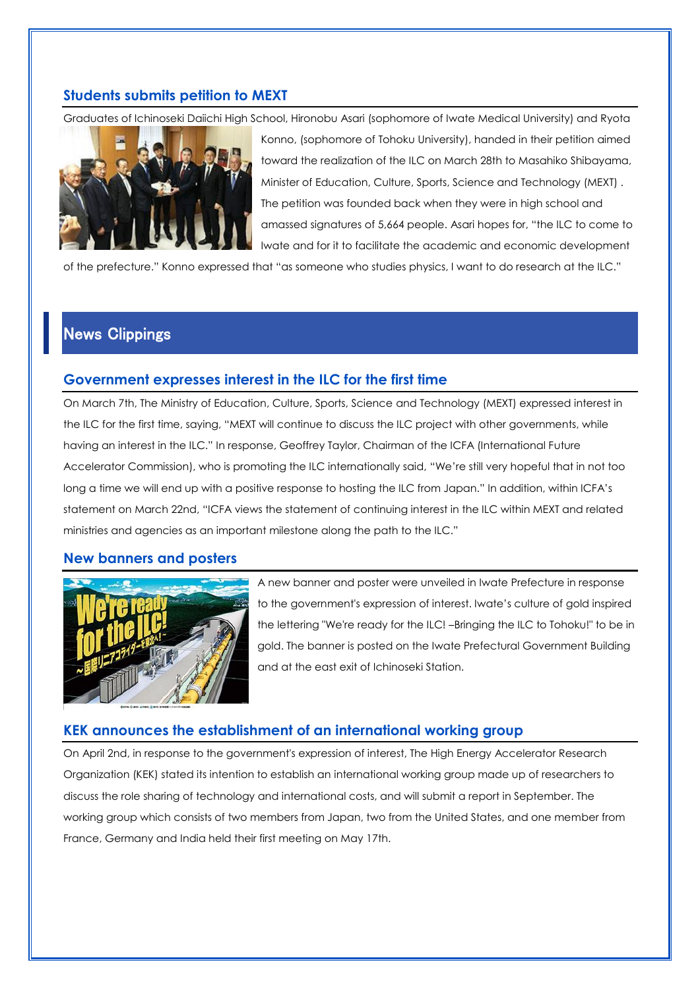## **Students submits petition to MEXT**

Graduates of Ichinoseki Daiichi High School, Hironobu Asari (sophomore of Iwate Medical University) and Ryota



Konno, (sophomore of Tohoku University), handed in their petition aimed toward the realization of the ILC on March 28th to Masahiko Shibayama, Minister of Education, Culture, Sports, Science and Technology (MEXT) . The petition was founded back when they were in high school and amassed signatures of 5,664 people. Asari hopes for, "the ILC to come to Iwate and for it to facilitate the academic and economic development

of the prefecture." Konno expressed that "as someone who studies physics, I want to do research at the ILC."

## News Clippings

## **Government expresses interest in the ILC for the first time**

On March 7th, The Ministry of Education, Culture, Sports, Science and Technology (MEXT) expressed interest in the ILC for the first time, saying, "MEXT will continue to discuss the ILC project with other governments, while having an interest in the ILC." In response, Geoffrey Taylor, Chairman of the ICFA (International Future Accelerator Commission), who is promoting the ILC internationally said, "We're still very hopeful that in not too long a time we will end up with a positive response to hosting the ILC from Japan." In addition, within ICFA's statement on March 22nd, "ICFA views the statement of continuing interest in the ILC within MEXT and related ministries and agencies as an important milestone along the path to the ILC."

#### **New banners and posters**



A new banner and poster were unveiled in Iwate Prefecture in response to the government's expression of interest. Iwate's culture of gold inspired the lettering "We're ready for the ILC! –Bringing the ILC to Tohoku!" to be in gold. The banner is posted on the Iwate Prefectural Government Building and at the east exit of Ichinoseki Station.

## **KEK announces the establishment of an international working group**

On April 2nd, in response to the government's expression of interest, The High Energy Accelerator Research Organization (KEK) stated its intention to establish an international working group made up of researchers to discuss the role sharing of technology and international costs, and will submit a report in September. The working group which consists of two members from Japan, two from the United States, and one member from France, Germany and India held their first meeting on May 17th.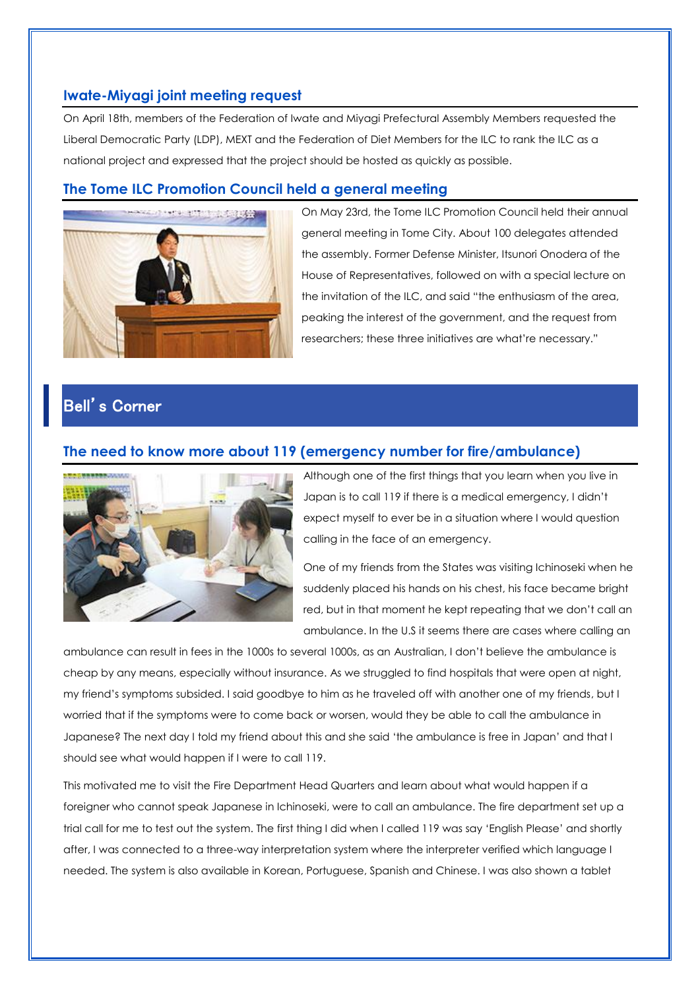## **Iwate-Miyagi joint meeting request**

On April 18th, members of the Federation of Iwate and Miyagi Prefectural Assembly Members requested the Liberal Democratic Party (LDP), MEXT and the Federation of Diet Members for the ILC to rank the ILC as a national project and expressed that the project should be hosted as quickly as possible.

## **The Tome ILC Promotion Council held a general meeting**



On May 23rd, the Tome ILC Promotion Council held their annual general meeting in Tome City. About 100 delegates attended the assembly. Former Defense Minister, Itsunori Onodera of the House of Representatives, followed on with a special lecture on the invitation of the ILC, and said "the enthusiasm of the area, peaking the interest of the government, and the request from researchers; these three initiatives are what're necessary."

## Bell's Corner

#### **The need to know more about 119 (emergency number for fire/ambulance)**



Although one of the first things that you learn when you live in Japan is to call 119 if there is a medical emergency, I didn't expect myself to ever be in a situation where I would question calling in the face of an emergency.

One of my friends from the States was visiting Ichinoseki when he suddenly placed his hands on his chest, his face became bright red, but in that moment he kept repeating that we don't call an ambulance. In the U.S it seems there are cases where calling an

ambulance can result in fees in the 1000s to several 1000s, as an Australian, I don't believe the ambulance is cheap by any means, especially without insurance. As we struggled to find hospitals that were open at night, my friend's symptoms subsided. I said goodbye to him as he traveled off with another one of my friends, but I worried that if the symptoms were to come back or worsen, would they be able to call the ambulance in Japanese? The next day I told my friend about this and she said 'the ambulance is free in Japan' and that I should see what would happen if I were to call 119.

This motivated me to visit the Fire Department Head Quarters and learn about what would happen if a foreigner who cannot speak Japanese in Ichinoseki, were to call an ambulance. The fire department set up a trial call for me to test out the system. The first thing I did when I called 119 was say 'English Please' and shortly after, I was connected to a three-way interpretation system where the interpreter verified which language I needed. The system is also available in Korean, Portuguese, Spanish and Chinese. I was also shown a tablet